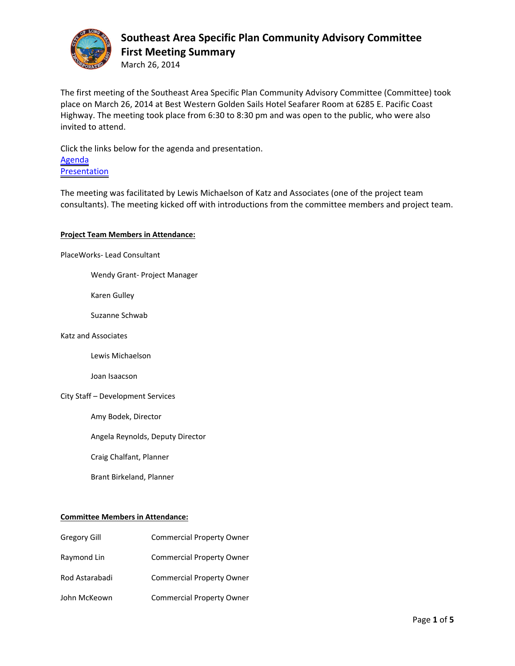

March 26, 2014

The first meeting of the Southeast Area Specific Plan Community Advisory Committee (Committee) took place on March 26, 2014 at Best Western Golden Sails Hotel Seafarer Room at 6285 E. Pacific Coast Highway. The meeting took place from 6:30 to 8:30 pm and was open to the public, who were also invited to attend.

Click the links below for the agenda and presentation. Agenda Presentation

The meeting was facilitated by Lewis Michaelson of Katz and Associates (one of the project team consultants). The meeting kicked off with introductions from the committee members and project team.

### **Project Team Members in Attendance:**

PlaceWorks‐ Lead Consultant

Wendy Grant‐ Project Manager

Karen Gulley

Suzanne Schwab

#### Katz and Associates

Lewis Michaelson

Joan Isaacson

#### City Staff – Development Services

Amy Bodek, Director

Angela Reynolds, Deputy Director

Craig Chalfant, Planner

Brant Birkeland, Planner

#### **Committee Members in Attendance:**

| Gregory Gill   | <b>Commercial Property Owner</b> |
|----------------|----------------------------------|
| Raymond Lin    | <b>Commercial Property Owner</b> |
| Rod Astarabadi | <b>Commercial Property Owner</b> |
| John McKeown   | <b>Commercial Property Owner</b> |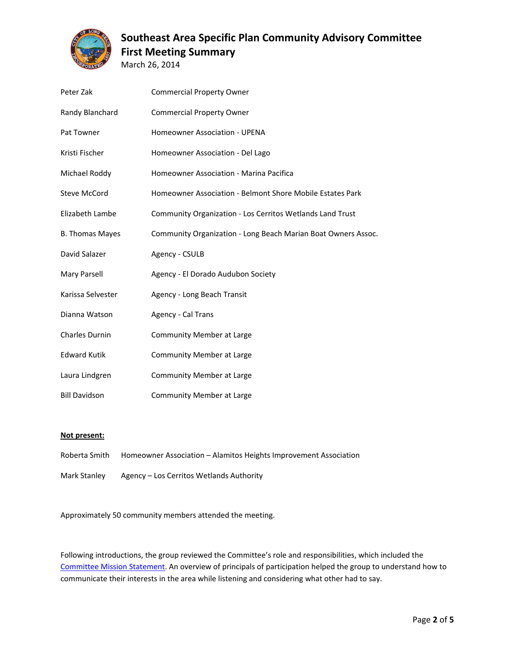

March 26, 2014

| Peter Zak              | <b>Commercial Property Owner</b>                              |
|------------------------|---------------------------------------------------------------|
| Randy Blanchard        | <b>Commercial Property Owner</b>                              |
| Pat Towner             | <b>Homeowner Association - UPENA</b>                          |
| Kristi Fischer         | Homeowner Association - Del Lago                              |
| Michael Roddy          | Homeowner Association - Marina Pacifica                       |
| <b>Steve McCord</b>    | Homeowner Association - Belmont Shore Mobile Estates Park     |
| Elizabeth Lambe        | Community Organization - Los Cerritos Wetlands Land Trust     |
| <b>B. Thomas Mayes</b> | Community Organization - Long Beach Marian Boat Owners Assoc. |
| David Salazer          | Agency - CSULB                                                |
|                        |                                                               |
| Mary Parsell           | Agency - El Dorado Audubon Society                            |
| Karissa Selvester      | Agency - Long Beach Transit                                   |
| Dianna Watson          | Agency - Cal Trans                                            |
| <b>Charles Durnin</b>  | <b>Community Member at Large</b>                              |
| <b>Edward Kutik</b>    | <b>Community Member at Large</b>                              |
| Laura Lindgren         | <b>Community Member at Large</b>                              |

#### **Not present:**

Roberta Smith Homeowner Association – Alamitos Heights Improvement Association

Mark Stanley Agency – Los Cerritos Wetlands Authority

Approximately 50 community members attended the meeting.

Following introductions, the group reviewed the Committee's role and responsibilities, which included the Committee Mission Statement. An overview of principals of participation helped the group to understand how to communicate their interests in the area while listening and considering what other had to say.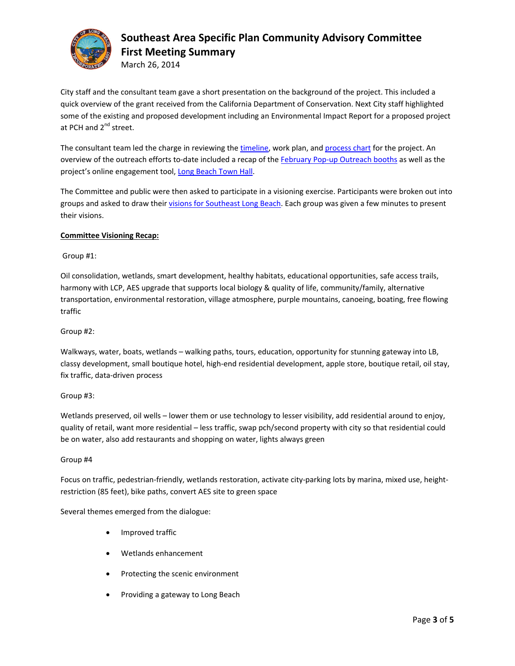

March 26, 2014

City staff and the consultant team gave a short presentation on the background of the project. This included a quick overview of the grant received from the California Department of Conservation. Next City staff highlighted some of the existing and proposed development including an Environmental Impact Report for a proposed project at PCH and  $2^{nd}$  street.

The consultant team led the charge in reviewing the timeline, work plan, and process chart for the project. An overview of the outreach efforts to‐date included a recap of the February Pop‐up Outreach booths as well as the project's online engagement tool, Long Beach Town Hall.

The Committee and public were then asked to participate in a visioning exercise. Participants were broken out into groups and asked to draw their visions for Southeast Long Beach. Each group was given a few minutes to present their visions.

### **Committee Visioning Recap:**

#### Group #1:

Oil consolidation, wetlands, smart development, healthy habitats, educational opportunities, safe access trails, harmony with LCP, AES upgrade that supports local biology & quality of life, community/family, alternative transportation, environmental restoration, village atmosphere, purple mountains, canoeing, boating, free flowing traffic

#### Group #2:

Walkways, water, boats, wetlands – walking paths, tours, education, opportunity for stunning gateway into LB, classy development, small boutique hotel, high‐end residential development, apple store, boutique retail, oil stay, fix traffic, data‐driven process

### Group #3:

Wetlands preserved, oil wells – lower them or use technology to lesser visibility, add residential around to enjoy, quality of retail, want more residential – less traffic, swap pch/second property with city so that residential could be on water, also add restaurants and shopping on water, lights always green

#### Group #4

Focus on traffic, pedestrian-friendly, wetlands restoration, activate city-parking lots by marina, mixed use, heightrestriction (85 feet), bike paths, convert AES site to green space

Several themes emerged from the dialogue:

- Improved traffic
- Wetlands enhancement
- Protecting the scenic environment
- Providing a gateway to Long Beach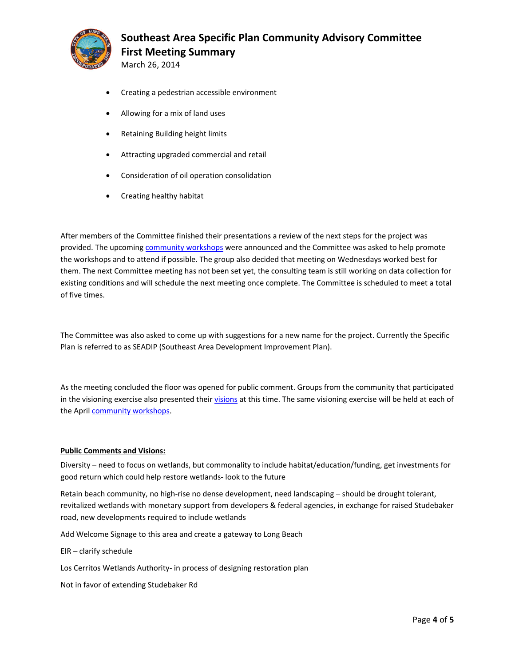

March 26, 2014

- Creating a pedestrian accessible environment
- Allowing for a mix of land uses
- Retaining Building height limits
- Attracting upgraded commercial and retail
- Consideration of oil operation consolidation
- Creating healthy habitat

After members of the Committee finished their presentations a review of the next steps for the project was provided. The upcoming community workshops were announced and the Committee was asked to help promote the workshops and to attend if possible. The group also decided that meeting on Wednesdays worked best for them. The next Committee meeting has not been set yet, the consulting team is still working on data collection for existing conditions and will schedule the next meeting once complete. The Committee is scheduled to meet a total of five times.

The Committee was also asked to come up with suggestions for a new name for the project. Currently the Specific Plan is referred to as SEADIP (Southeast Area Development Improvement Plan).

As the meeting concluded the floor was opened for public comment. Groups from the community that participated in the visioning exercise also presented their visions at this time. The same visioning exercise will be held at each of the April community workshops.

#### **Public Comments and Visions:**

Diversity – need to focus on wetlands, but commonality to include habitat/education/funding, get investments for good return which could help restore wetlands‐ look to the future

Retain beach community, no high-rise no dense development, need landscaping – should be drought tolerant, revitalized wetlands with monetary support from developers & federal agencies, in exchange for raised Studebaker road, new developments required to include wetlands

Add Welcome Signage to this area and create a gateway to Long Beach

EIR – clarify schedule

Los Cerritos Wetlands Authority‐ in process of designing restoration plan

Not in favor of extending Studebaker Rd